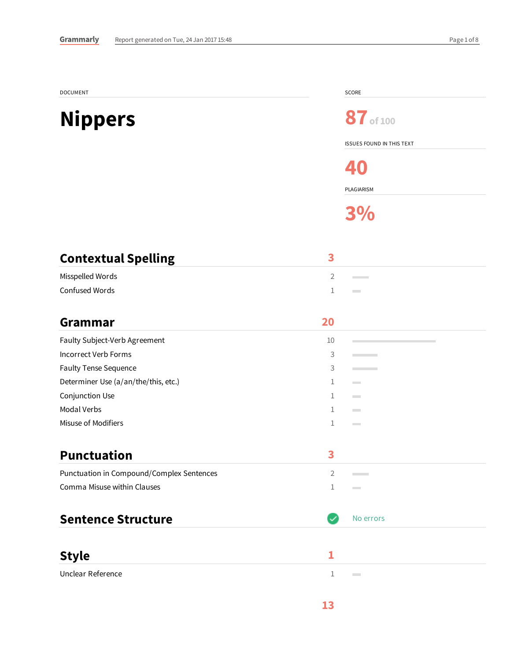| DOCUMENT                                  |                | SCORE                            |
|-------------------------------------------|----------------|----------------------------------|
| <b>Nippers</b>                            |                | 87 of 100                        |
|                                           |                | <b>ISSUES FOUND IN THIS TEXT</b> |
|                                           |                | 40                               |
|                                           |                | PLAGIARISM                       |
|                                           |                | 3%                               |
| <b>Contextual Spelling</b>                | 3              |                                  |
| Misspelled Words                          | 2              | <b>Contract</b>                  |
| Confused Words                            | 1              | <b>Contract</b>                  |
| <b>Grammar</b>                            | 20             |                                  |
| Faulty Subject-Verb Agreement             | 10             |                                  |
| Incorrect Verb Forms                      | 3              | <b>Contract</b>                  |
| Faulty Tense Sequence                     | 3              | <b>Contract</b>                  |
| Determiner Use (a/an/the/this, etc.)      | 1              | <b>Contract</b>                  |
| Conjunction Use                           | $\mathbf{1}$   | <b>Contract</b>                  |
| <b>Modal Verbs</b>                        | 1              | <b>Contract</b>                  |
| Misuse of Modifiers                       | 1              | <b>Contract</b>                  |
| <b>Punctuation</b>                        | 3              |                                  |
| Punctuation in Compound/Complex Sentences | $\overline{2}$ |                                  |
| Comma Misuse within Clauses               | 1              | $\sim$                           |
| <b>Sentence Structure</b>                 | $\checkmark$   | No errors                        |
|                                           |                |                                  |
| <b>Style</b>                              | 1              |                                  |
| Unclear Reference                         | $\mathbf{1}$   | <b>Contract</b>                  |
|                                           | 13             |                                  |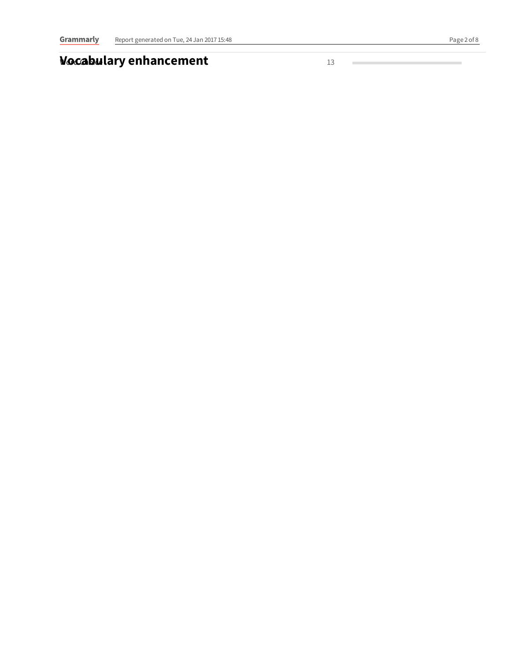## **Wocabulary enhancement**

1 3

**Contract Contract Contract Contract** 

÷.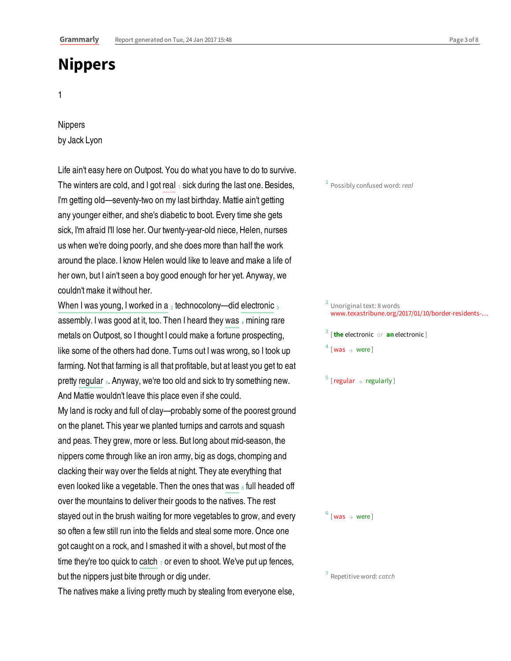## **Nippers**

1

## Nippers by Jack Lyon

The winters are cold, and I got real  $_1$  sick during the last one. Besides, Life ain't easy here on Outpost. You do what you have to do to survive. I'm getting old—seventy-two on my last birthday. Mattie ain't getting any younger either, and she's diabetic to boot. Every time she gets sick, I'm afraid I'll lose her. Our twenty-year-old niece, Helen, nurses us when we're doing poorly, and she does more than half the work around the place. I know Helen would like to leave and make a life of her own, but I ain't seen a boy good enough for her yet. Anyway, we couldn't make it without her.

When I was young, I worked in a  $_2$  technocolony—did electronic  $_3$ assembly. I was good at it, too. Then I heard they was 4 mining rare pretty regular <sub>5</sub>. Anyway, we're too old and sick to try something new. metals on Outpost, so I thought I could make a fortune prospecting, like some of the others had done. Turns out I was wrong, so I took up farming. Not that farming is all that profitable, but at least you get to eat And Mattie wouldn't leave this place even if she could.

even looked like a vegetable. Then the ones that was  $_{\scriptscriptstyle{6}}$  full headed off time they're too quick to catch  $_7$  or even to shoot. We've put up fences, My land is rocky and full of clay—probably some of the poorest ground on the planet. This year we planted turnips and carrots and squash and peas. They grew, more or less. But long about mid-season, the nippers come through like an iron army, big as dogs, chomping and clacking their way over the fields at night. They ate everything that over the mountains to deliver their goods to the natives. The rest stayed out in the brush waiting for more vegetables to grow, and every so often a few still run into the fields and steal some more. Once one got caught on a rock, and I smashed it with a shovel, but most of the but the nippers just bite through or dig under.

The natives make a living pretty much by stealing from everyone else,

## <sup>2</sup> Unoriginal text: 8 words www.texastribune.org/2017/01/10/border-residents-… 3 [**the** electronic or **an** electronic ]  $4$  [was  $\rightarrow$  were]  $\frac{5}{3}$  [regular  $\rightarrow$  regularly]

 $1$  Possibly confused word: real

 $^6$  [ was  $\rightarrow$  were ]

 $<sup>7</sup>$  Repetitive word: *catch*</sup>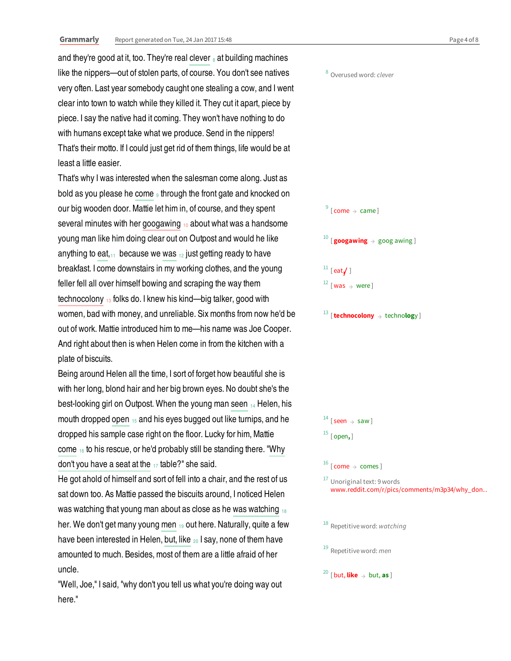and they're good at it, too. They're real clever  $_{\rm s}$  at building machines like the nippers—out of stolen parts, of course. You don't see natives very often. Last year somebody caught one stealing a cow, and I went clear into town to watch while they killed it. They cut it apart, piece by piece. I say the native had it coming. They won't have nothing to do with humans except take what we produce. Send in the nippers! That's their motto. If I could just get rid of them things, life would be at least a little easier.

bold as you please he come  $_{9}$  through the front gate and knocked on several minutes with her googawing 10 about what was a handsome anything to eat, $_{11}$  because we was  $_{12}$  just getting ready to have technocolony <sub>13</sub> folks do. I knew his kind—big talker, good with That's why I was interested when the salesman come along. Just as our big wooden door. Mattie let him in, of course, and they spent young man like him doing clear out on Outpost and would he like breakfast. I come downstairs in my working clothes, and the young feller fell all over himself bowing and scraping the way them women, bad with money, and unreliable. Six months from now he'd be out of work. Mattie introduced him to me—his name was Joe Cooper. And right about then is when Helen come in from the kitchen with a plate of biscuits.

best-looking girl on Outpost. When the young man seen 14 Helen, his mouth dropped open  $_{15}$  and his eyes bugged out like turnips, and he come  $\frac{1}{16}$  to his rescue, or he'd probably still be standing there. "Why don't you have a seat at the  $_{17}$  table?" she said. Being around Helen all the time, I sort of forget how beautiful she is with her long, blond hair and her big brown eyes. No doubt she's the dropped his sample case right on the floor. Lucky for him, Mattie

was watching that young man about as close as he was watching  $_{18}$ her. We don't get many young men <sub>19</sub> out here. Naturally, quite a few have been interested in Helen, but, like 20 I say, none of them have He got ahold of himself and sort of fell into a chair, and the rest of us sat down too. As Mattie passed the biscuits around, I noticed Helen amounted to much. Besides, most of them are a little afraid of her uncle.

"Well, Joe," I said, "why don't you tell us what you're doing way out here."

 $\frac{9}{9}$  [come  $\rightarrow$  came]  $^{10}$  [**googawing**  $\rightarrow$  goog awing ]  $^{11}$  [eat $\checkmark$  ]  $^{12}$  [was  $\rightarrow$  were] 13 [**technocolony** → techno**log**y ]

<sup>8</sup> Overused word: clever

 $^{14}$  [seen  $\rightarrow$  saw] 15 [ open**,** ]

 $^{16}$  [ come  $\rightarrow$  comes ]

<sup>17</sup> Unoriginal text: 9 words www.reddit.com/r/pics/comments/m3p34/why\_don…

 $18$  Repetitive word: watching

 $19$  Repetitive word: *men* 

20 [ but, **like** → but, **as** ]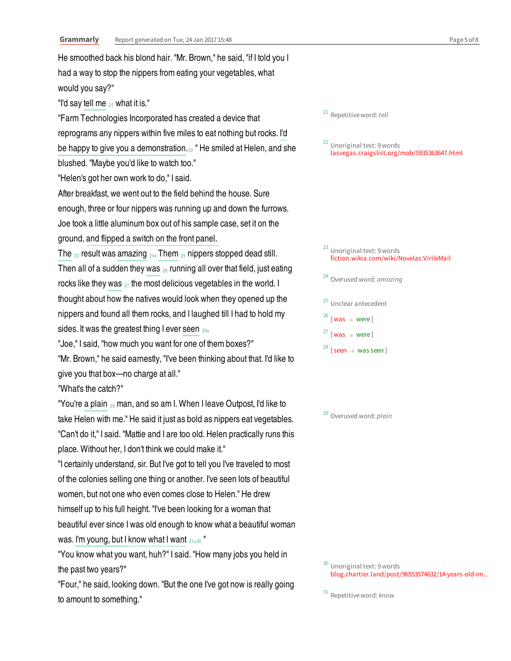"I'd say tell me  $_{21}$  what it is." reprograms any nippers within five miles to eat nothing but rocks. I'd be happy to give you a demonstration.<sub>22</sub> "He smiled at Helen, and she ground, and flipped a switch on the front panel. The  $_{23}$  result was amazing  $_{24}$ . Them  $_{25}$  nippers stopped dead still. Then all of a sudden they was  $_{\mathit{26}}$  running all over that field, just eating rocks like they was  $_{\mathrm{27}}$  the most delicious vegetables in the world. I sides. It was the greatest thing I ever seen  $_{28}$ . "You're a plain 29 man, and so am I. When I leave Outpost, I'd like to was. I'm young, but I know what I want  $_{31\cdot 30}$  " He smoothed back his blond hair. "Mr. Brown," he said, "if I told you I had a way to stop the nippers from eating your vegetables, what would you say?" "Farm Technologies Incorporated has created a device that blushed. "Maybe you'd like to watch too." "Helen's got her own work to do," I said. After breakfast, we went out to the field behind the house. Sure enough, three or four nippers was running up and down the furrows. Joe took a little aluminum box out of his sample case, set it on the thought about how the natives would look when they opened up the nippers and found all them rocks, and I laughed till I had to hold my "Joe," I said, "how much you want for one of them boxes?" "Mr. Brown," he said earnestly, "I've been thinking about that. I'd like to give you that box—no charge at all." "What's the catch?" take Helen with me." He said it just as bold as nippers eat vegetables. "Can't do it," I said. "Mattie and I are too old. Helen practically runs this place. Without her, I don't think we could make it." "I certainly understand, sir. But I've got to tell you I've traveled to most of the colonies selling one thing or another. I've seen lots of beautiful women, but not one who even comes close to Helen." He drew himself up to his full height. "I've been looking for a woman that beautiful ever since I was old enough to know what a beautiful woman "You know what you want, huh?" I said. "How many jobs you held in the past two years?"

"Four," he said, looking down. "But the one I've got now is really going to amount to something."

<sup>21</sup> Repetitive word: tell

<sup>22</sup> Unoriginal text: 9 words lasvegas.craigslist.org/mob/5935363647.html

<sup>23</sup> Unoriginal text: 9 words fiction.wikia.com/wiki/Novelas:VirileMail

<sup>24</sup> Overused word: amazing

<sup>25</sup> Unclear antecedent

 $26$  [was  $\rightarrow$  were]

 $27$  [was  $\rightarrow$  were]

 $^{28}$  [seen  $\rightarrow$  was seen]

<sup>29</sup> Overused word: plain

<sup>30</sup> Unoriginal text: 9 words blog.chartier.land/post/96553574632/14-years-old-im…

 $31$  Repetitive word:  $known$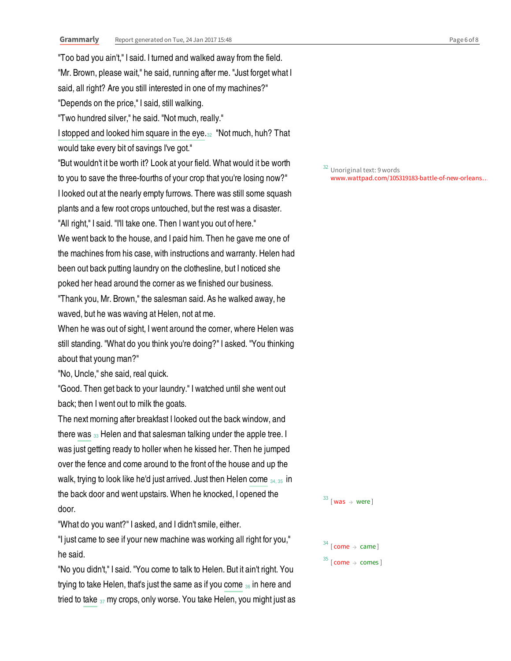I stopped and looked him square in the eye.<sub>32</sub> "Not much, huh? That "Too bad you ain't," I said. I turned and walked away from the field. "Mr. Brown, please wait," he said, running after me. "Just forget what I said, all right? Are you still interested in one of my machines?" "Depends on the price," I said, still walking. "Two hundred silver," he said. "Not much, really." would take every bit of savings I've got." "But wouldn't it be worth it? Look at your field. What would it be worth to you to save the three-fourths of your crop that you're losing now?" I looked out at the nearly empty furrows. There was still some squash plants and a few root crops untouched, but the rest was a disaster. "All right," I said. "I'll take one. Then I want you out of here." We went back to the house, and I paid him. Then he gave me one of the machines from his case, with instructions and warranty. Helen had been out back putting laundry on the clothesline, but I noticed she poked her head around the corner as we finished our business. "Thank you, Mr. Brown," the salesman said. As he walked away, he waved, but he was waving at Helen, not at me. When he was out of sight, I went around the corner, where Helen was still standing. "What do you think you're doing?" I asked. "You thinking about that young man?" "No, Uncle," she said, real quick.

"Good. Then get back to your laundry." I watched until she went out back; then I went out to milk the goats.

there was  $_{33}$  Helen and that salesman talking under the apple tree. I walk, trying to look like he'd just arrived. Just then Helen come  $_{34,35}$  in The next morning after breakfast I looked out the back window, and was just getting ready to holler when he kissed her. Then he jumped over the fence and come around to the front of the house and up the the back door and went upstairs. When he knocked, I opened the door.

"What do you want?" I asked, and I didn't smile, either.

"I just came to see if your new machine was working all right for you," he said.

trying to take Helen, that's just the same as if you come  $_{36}$  in here and tried to take  $_{37}$  my crops, only worse. You take Helen, you might just as "No you didn't," I said. "You come to talk to Helen. But it ain't right. You

Unoriginal text: 9 words www.wattpad.com/105319183-battle-of-new-orleans…

 $33$  [was  $\rightarrow$  were]

 $34$  [come  $\rightarrow$  came]  $^{35}$  [ come  $\rightarrow$  comes ]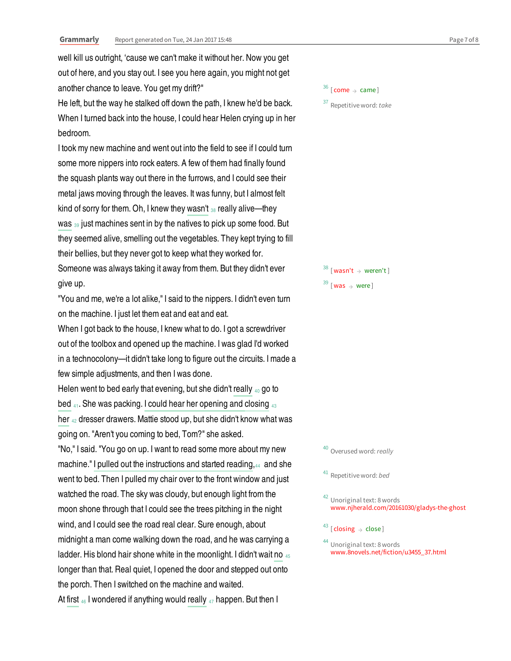well kill us outright, 'cause we can't make it without her. Now you get out of here, and you stay out. I see you here again, you might not get another chance to leave. You get my drift?"

He left, but the way he stalked off down the path, I knew he'd be back. When I turned back into the house, I could hear Helen crying up in her bedroom.

kind of sorry for them. Oh, I knew they wasn't 38 really alive—they was <sup>39</sup> just machines sent in by the natives to pick up some food. But I took my new machine and went out into the field to see if I could turn some more nippers into rock eaters. A few of them had finally found the squash plants way out there in the furrows, and I could see their metal jaws moving through the leaves. It was funny, but I almost felt they seemed alive, smelling out the vegetables. They kept trying to fill their bellies, but they never got to keep what they worked for. Someone was always taking it away from them. But they didn't ever give up.

"You and me, we're a lot alike," I said to the nippers. I didn't even turn on the machine. I just let them eat and eat and eat.

When I got back to the house, I knew what to do. I got a screwdriver out of the toolbox and opened up the machine. I was glad I'd worked in a technocolony—it didn't take long to figure out the circuits. I made a few simple adjustments, and then I was done.

Helen went to bed early that evening, but she didn't really 40 go to bed  $_{41}$ . She was packing. I could hear her opening and closing  $_{43}$ her 42 dresser drawers. Mattie stood up, but she didn't know what was going on. "Aren't you coming to bed, Tom?" she asked.

machine." I pulled out the instructions and started reading,44 and she ladder. His blond hair shone white in the moonlight. I didn't wait no 45 At first  $_{46}$  I wondered if anything would really  $_{47}$  happen. But then I "No," I said. "You go on up. I want to read some more about my new went to bed. Then I pulled my chair over to the front window and just watched the road. The sky was cloudy, but enough light from the moon shone through that I could see the trees pitching in the night wind, and I could see the road real clear. Sure enough, about midnight a man come walking down the road, and he was carrying a longer than that. Real quiet, I opened the door and stepped out onto the porch. Then I switched on the machine and waited.

 $^{36}$  [ come  $\rightarrow$  came ]

 $37$  Repetitive word: take

 $38$  [wasn't  $\rightarrow$  weren't]  $^{39}$  [was  $\rightarrow$  were]

40 Overused word: really

<sup>41</sup> Repetitive word: bed

<sup>42</sup> Unoriginal text: 8 words www.njherald.com/20161030/gladys-the-ghost

 $^{43}$  [ closing  $\rightarrow$  close]

<sup>44</sup> Unoriginal text: 8 words www.8novels.net/fiction/u3455\_37.html